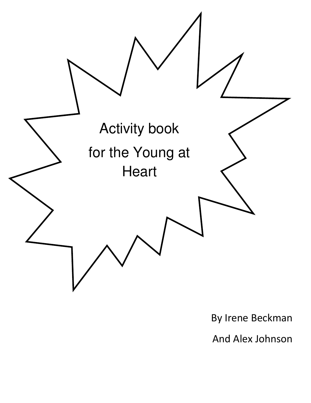

By Irene Beckman

And Alex Johnson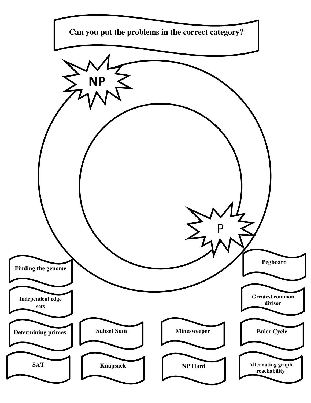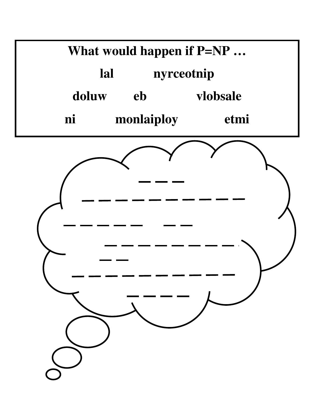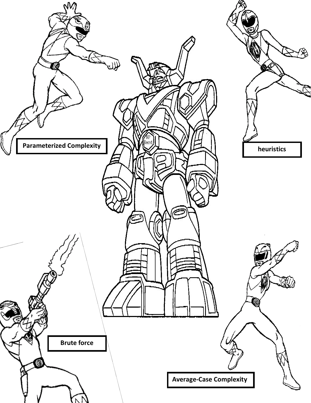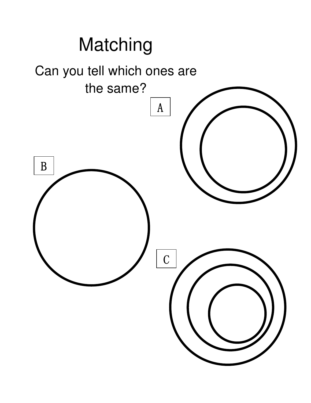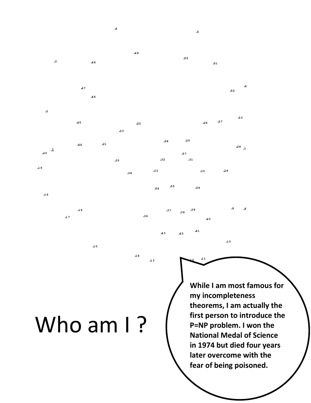## Who am I?

 $\bf{15}$ 

 $\boldsymbol{\mathcal{A}}$ 

 $A8$ 

.46

 $21$ 

 $47$ 

 $\overline{A}5$ 

 $44$ 

 $.16$ 

 $17$ 

 $\cdot$ <sup>3</sup>

 $\mathbf{.2}$ 

.1  $20$ 

 $.19$ 

 $\mathbf{.1}$  8

-49

 $.22$ 

 $.24$ 

 $32$ 

 $-55$ 

 $-37$ 

 $A3$ 

 $.33$ 

 $.54$ 

 $.36$ 

 $\mathbf{13}$ 

 $14$ 

 $23$ 

 $.35$ 

 $34$ 

 $\mathfrak{s}$ 

 $.51$ 

 $27$ 

 $.29$ 

 $10$ 

 $.26$ 

 $30$ 

**40** 

 $.56$ 

39

 $\mathcal{A}1$ 

 $11$ 

 $38$ 

 $A2$ 

5

 $-53$ 

 $28,7$ 

.8

 $-52$ 

50

 ${\bf .25}$ 

 $.57$  $.31$ 

> **While I am most famous for my incompleteness theorems, I am actually the first person to introduce the P=NP problem. I won the National Medal of Science in 1974 but died four years later overcome with the fear of being poisoned.**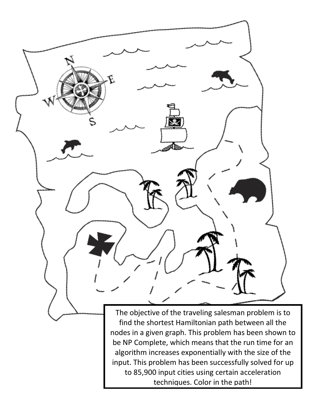

techniques. Color in the path!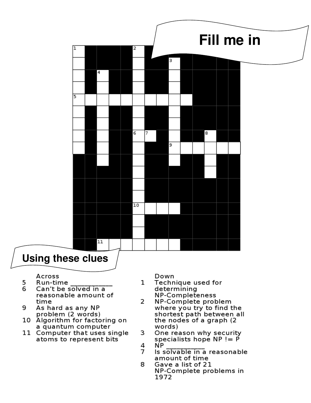

- Across
- 5 Run-time
- 6 Can't be solved in a reasonable amount of time
- 9 As hard as any NP
- problem (2 words)<br>10 Algorithm for factoring on a quantum computer
- 11 Computer that uses single atoms to represent bits

Down 1

- Technique used for determining NP-Completeness
- NP-Complete problem 2 where you try to find the shortest path between all the nodes of a graph (2) words)
- 3 One reason why security specialists hope  $NP := P$ 4 NP.
- 7 Is solvable in a reasonable amount of time
- 8 Gave a list of 21 NP-Complete problems in 1972